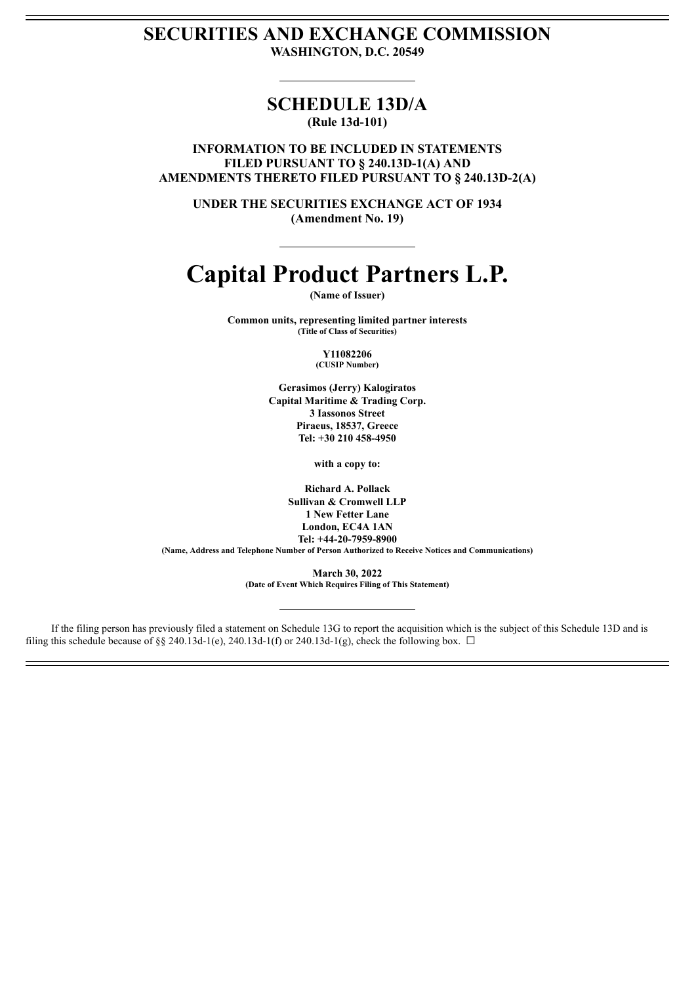# **SECURITIES AND EXCHANGE COMMISSION WASHINGTON, D.C. 20549**

# **SCHEDULE 13D/A (Rule 13d-101)**

**INFORMATION TO BE INCLUDED IN STATEMENTS FILED PURSUANT TO § 240.13D-1(A) AND AMENDMENTS THERETO FILED PURSUANT TO § 240.13D-2(A)**

**UNDER THE SECURITIES EXCHANGE ACT OF 1934 (Amendment No. 19)**

# **Capital Product Partners L.P.**

**(Name of Issuer)**

**Common units, representing limited partner interests (Title of Class of Securities)**

> **Y11082206 (CUSIP Number)**

**Gerasimos (Jerry) Kalogiratos Capital Maritime & Trading Corp. 3 Iassonos Street Piraeus, 18537, Greece Tel: +30 210 458-4950**

**with a copy to:**

**Richard A. Pollack Sullivan & Cromwell LLP 1 New Fetter Lane London, EC4A 1AN Tel: +44-20-7959-8900 (Name, Address and Telephone Number of Person Authorized to Receive Notices and Communications)**

> **March 30, 2022 (Date of Event Which Requires Filing of This Statement)**

If the filing person has previously filed a statement on Schedule 13G to report the acquisition which is the subject of this Schedule 13D and is filing this schedule because of §§ 240.13d-1(e), 240.13d-1(f) or 240.13d-1(g), check the following box.  $\Box$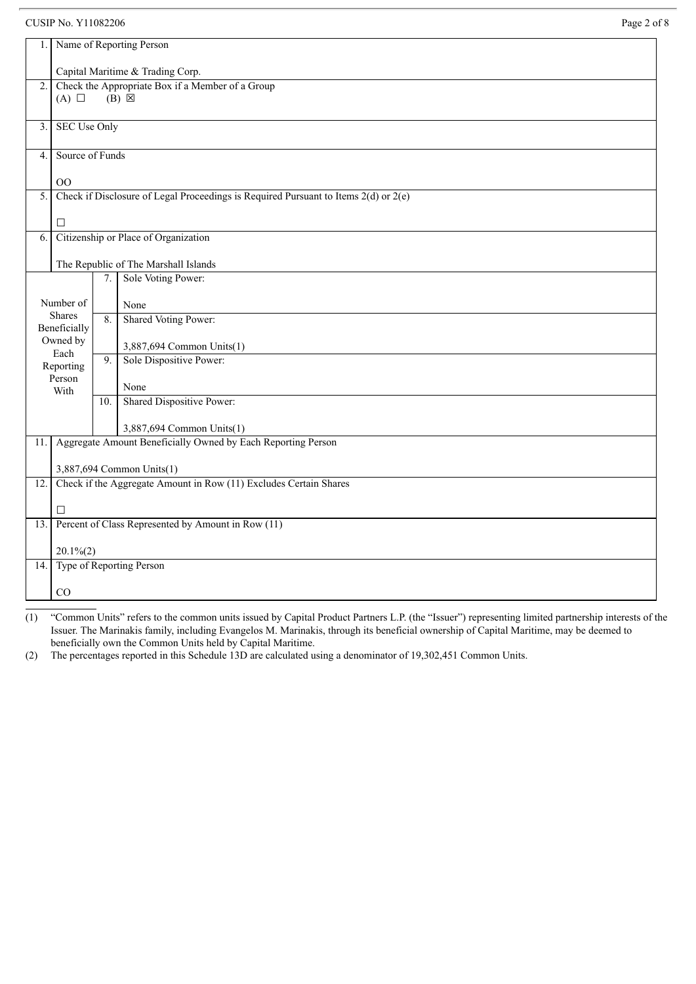CUSIP No. Y11082206 Page 2 of 8

| 1.  |                                      |     | Name of Reporting Person                                                                |  |
|-----|--------------------------------------|-----|-----------------------------------------------------------------------------------------|--|
|     | Capital Maritime & Trading Corp.     |     |                                                                                         |  |
| 2.  | $(A)$ $\square$                      |     | Check the Appropriate Box if a Member of a Group<br>$(B)$ $\boxtimes$                   |  |
|     |                                      |     |                                                                                         |  |
| 3.  | <b>SEC Use Only</b>                  |     |                                                                                         |  |
|     |                                      |     |                                                                                         |  |
| 4.  | Source of Funds                      |     |                                                                                         |  |
|     |                                      |     |                                                                                         |  |
| 5.  | 00                                   |     | Check if Disclosure of Legal Proceedings is Required Pursuant to Items $2(d)$ or $2(e)$ |  |
|     |                                      |     |                                                                                         |  |
|     | $\Box$                               |     |                                                                                         |  |
| 6.  | Citizenship or Place of Organization |     |                                                                                         |  |
|     |                                      |     |                                                                                         |  |
|     |                                      |     | The Republic of The Marshall Islands                                                    |  |
|     |                                      | 7.  | Sole Voting Power:                                                                      |  |
|     | Number of                            |     | None                                                                                    |  |
|     | <b>Shares</b>                        | 8.  | Shared Voting Power:                                                                    |  |
|     | Beneficially                         |     |                                                                                         |  |
|     | Owned by<br>Each                     |     | 3,887,694 Common Units(1)                                                               |  |
|     | Reporting                            | 9.  | Sole Dispositive Power:                                                                 |  |
|     | Person                               |     |                                                                                         |  |
|     | With                                 |     | None                                                                                    |  |
|     |                                      | 10. | <b>Shared Dispositive Power:</b>                                                        |  |
|     |                                      |     | 3,887,694 Common Units(1)                                                               |  |
| 11. |                                      |     | Aggregate Amount Beneficially Owned by Each Reporting Person                            |  |
|     |                                      |     |                                                                                         |  |
|     |                                      |     | 3,887,694 Common Units(1)                                                               |  |
| 12. |                                      |     | Check if the Aggregate Amount in Row (11) Excludes Certain Shares                       |  |
|     | $\Box$                               |     |                                                                                         |  |
| 13. |                                      |     | Percent of Class Represented by Amount in Row (11)                                      |  |
|     |                                      |     |                                                                                         |  |
|     | $20.1\%$ (2)                         |     |                                                                                         |  |
| 14. |                                      |     | Type of Reporting Person                                                                |  |
|     |                                      |     |                                                                                         |  |
|     | CO                                   |     |                                                                                         |  |

(1) "Common Units" refers to the common units issued by Capital Product Partners L.P. (the "Issuer") representing limited partnership interests of the Issuer. The Marinakis family, including Evangelos M. Marinakis, through its beneficial ownership of Capital Maritime, may be deemed to beneficially own the Common Units held by Capital Maritime.

(2) The percentages reported in this Schedule 13D are calculated using a denominator of 19,302,451 Common Units.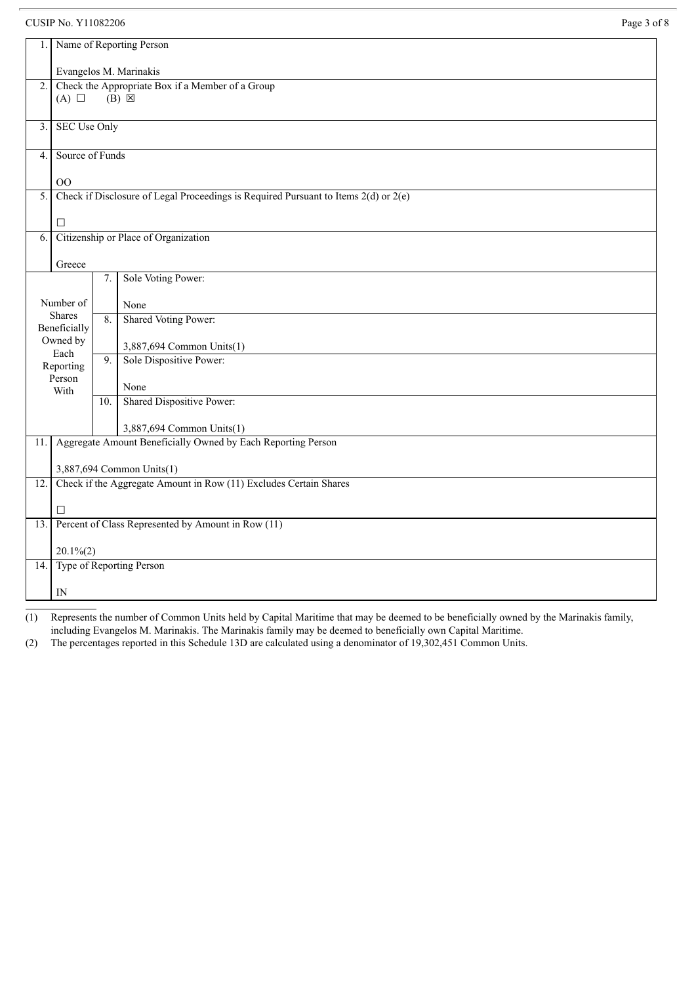## CUSIP No. Y11082206 Page 3 of 8

| 1.                                         |                                                                                                           |     | Name of Reporting Person                                                                  |  |
|--------------------------------------------|-----------------------------------------------------------------------------------------------------------|-----|-------------------------------------------------------------------------------------------|--|
|                                            | Evangelos M. Marinakis                                                                                    |     |                                                                                           |  |
| $\overline{2}$ .                           |                                                                                                           |     | Check the Appropriate Box if a Member of a Group                                          |  |
|                                            | $(B) \boxtimes$<br>$(A)$ $\square$                                                                        |     |                                                                                           |  |
|                                            |                                                                                                           |     |                                                                                           |  |
| 3.                                         | <b>SEC Use Only</b>                                                                                       |     |                                                                                           |  |
| 4.                                         | Source of Funds                                                                                           |     |                                                                                           |  |
|                                            |                                                                                                           |     |                                                                                           |  |
| 5.                                         | O <sub>O</sub><br>Check if Disclosure of Legal Proceedings is Required Pursuant to Items $2(d)$ or $2(e)$ |     |                                                                                           |  |
|                                            |                                                                                                           |     |                                                                                           |  |
|                                            | $\Box$                                                                                                    |     |                                                                                           |  |
| Citizenship or Place of Organization<br>6. |                                                                                                           |     |                                                                                           |  |
|                                            | Greece                                                                                                    |     |                                                                                           |  |
|                                            |                                                                                                           | 7.  | Sole Voting Power:                                                                        |  |
|                                            | Number of                                                                                                 |     | None                                                                                      |  |
|                                            | Shares                                                                                                    | 8.  | Shared Voting Power:                                                                      |  |
|                                            | Beneficially                                                                                              |     |                                                                                           |  |
|                                            | Owned by<br>Each                                                                                          |     | 3,887,694 Common Units(1)                                                                 |  |
|                                            | Reporting                                                                                                 | 9.  | Sole Dispositive Power:                                                                   |  |
|                                            | Person<br>With                                                                                            |     | None                                                                                      |  |
|                                            |                                                                                                           | 10. | <b>Shared Dispositive Power:</b>                                                          |  |
|                                            |                                                                                                           |     |                                                                                           |  |
| 11.                                        |                                                                                                           |     | 3,887,694 Common Units(1)<br>Aggregate Amount Beneficially Owned by Each Reporting Person |  |
|                                            |                                                                                                           |     |                                                                                           |  |
|                                            |                                                                                                           |     | 3,887,694 Common Units(1)                                                                 |  |
| 12.                                        |                                                                                                           |     | Check if the Aggregate Amount in Row (11) Excludes Certain Shares                         |  |
|                                            | $\Box$                                                                                                    |     |                                                                                           |  |
| 13.                                        |                                                                                                           |     | Percent of Class Represented by Amount in Row (11)                                        |  |
|                                            |                                                                                                           |     |                                                                                           |  |
|                                            | $20.1\%$ (2)                                                                                              |     |                                                                                           |  |
| 14.                                        |                                                                                                           |     | Type of Reporting Person                                                                  |  |
|                                            | IN                                                                                                        |     |                                                                                           |  |

(1) Represents the number of Common Units held by Capital Maritime that may be deemed to be beneficially owned by the Marinakis family, including Evangelos M. Marinakis. The Marinakis family may be deemed to beneficially own Capital Maritime.

(2) The percentages reported in this Schedule 13D are calculated using a denominator of 19,302,451 Common Units.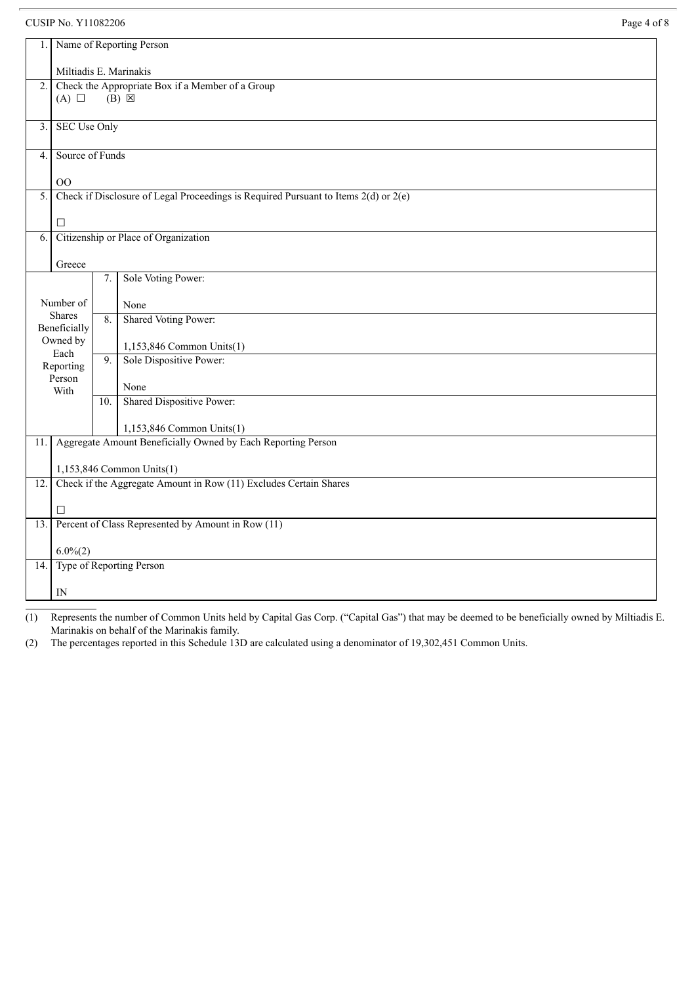# CUSIP No. Y11082206

| Page 4 of 8 |  |
|-------------|--|
|-------------|--|

|                  |                                                                                           |         | Name of Reporting Person                                                                       |  |
|------------------|-------------------------------------------------------------------------------------------|---------|------------------------------------------------------------------------------------------------|--|
|                  |                                                                                           |         |                                                                                                |  |
|                  | Miltiadis E. Marinakis                                                                    |         |                                                                                                |  |
| 2.               | Check the Appropriate Box if a Member of a Group                                          |         |                                                                                                |  |
|                  | $(B) \boxtimes$<br>$(A)$ $\square$                                                        |         |                                                                                                |  |
|                  | <b>SEC Use Only</b>                                                                       |         |                                                                                                |  |
| 3.               |                                                                                           |         |                                                                                                |  |
| $\overline{4}$ . | Source of Funds                                                                           |         |                                                                                                |  |
|                  |                                                                                           |         |                                                                                                |  |
|                  | $00\,$                                                                                    |         |                                                                                                |  |
|                  | Check if Disclosure of Legal Proceedings is Required Pursuant to Items 2(d) or 2(e)<br>5. |         |                                                                                                |  |
|                  | $\Box$                                                                                    |         |                                                                                                |  |
| 6.               | Citizenship or Place of Organization                                                      |         |                                                                                                |  |
|                  |                                                                                           |         |                                                                                                |  |
|                  | Greece                                                                                    |         |                                                                                                |  |
|                  |                                                                                           | $7. \,$ | Sole Voting Power:                                                                             |  |
|                  | Number of                                                                                 |         | None                                                                                           |  |
|                  | Shares                                                                                    | 8.      | Shared Voting Power:                                                                           |  |
|                  | Beneficially                                                                              |         |                                                                                                |  |
|                  | Owned by<br>Each                                                                          |         | 1,153,846 Common Units(1)                                                                      |  |
|                  | Reporting                                                                                 | 9.      | Sole Dispositive Power:                                                                        |  |
|                  | Person                                                                                    |         | None                                                                                           |  |
|                  | With                                                                                      | 10.     | <b>Shared Dispositive Power:</b>                                                               |  |
|                  |                                                                                           |         |                                                                                                |  |
|                  |                                                                                           |         | 1,153,846 Common Units(1)                                                                      |  |
| 11.              |                                                                                           |         | Aggregate Amount Beneficially Owned by Each Reporting Person                                   |  |
|                  |                                                                                           |         |                                                                                                |  |
| 12.              |                                                                                           |         | 1,153,846 Common Units(1)<br>Check if the Aggregate Amount in Row (11) Excludes Certain Shares |  |
|                  |                                                                                           |         |                                                                                                |  |
|                  | $\Box$                                                                                    |         |                                                                                                |  |
| 13.              |                                                                                           |         | Percent of Class Represented by Amount in Row (11)                                             |  |
|                  | $6.0\%(2)$                                                                                |         |                                                                                                |  |
| 14.              |                                                                                           |         | Type of Reporting Person                                                                       |  |
|                  |                                                                                           |         |                                                                                                |  |
|                  | ${\rm IN}$                                                                                |         |                                                                                                |  |

(1) Represents the number of Common Units held by Capital Gas Corp. ("Capital Gas") that may be deemed to be beneficially owned by Miltiadis E. Marinakis on behalf of the Marinakis family.

(2) The percentages reported in this Schedule 13D are calculated using a denominator of 19,302,451 Common Units.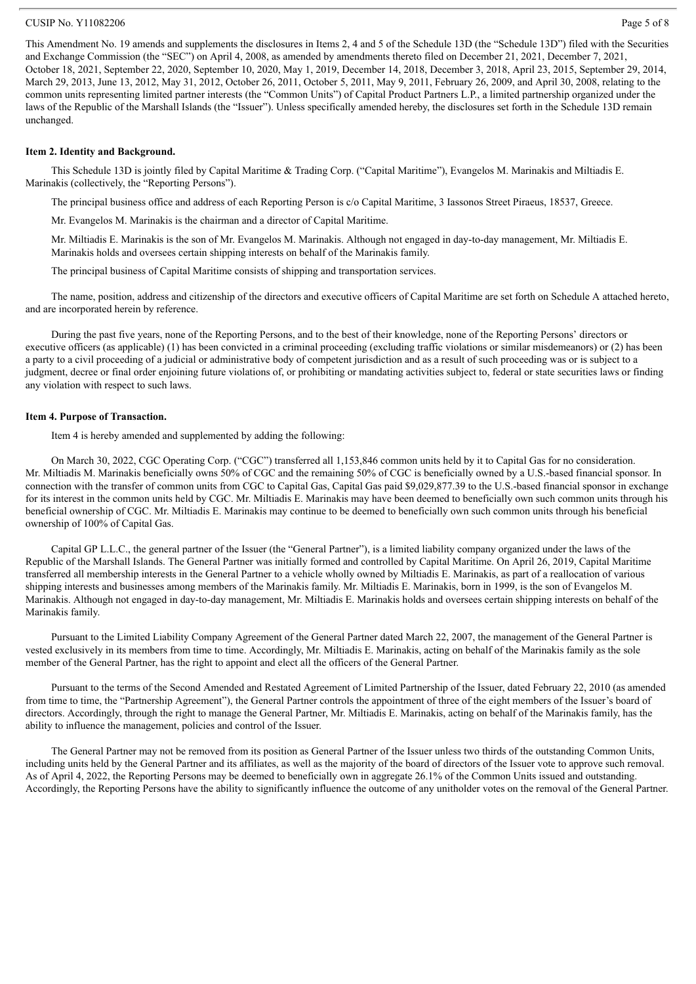#### $\text{CUSIP No. } Y11082206$  Page 5 of 8

This Amendment No. 19 amends and supplements the disclosures in Items 2, 4 and 5 of the Schedule 13D (the "Schedule 13D") filed with the Securities and Exchange Commission (the "SEC") on April 4, 2008, as amended by amendments thereto filed on December 21, 2021, December 7, 2021, October 18, 2021, September 22, 2020, September 10, 2020, May 1, 2019, December 14, 2018, December 3, 2018, April 23, 2015, September 29, 2014, March 29, 2013, June 13, 2012, May 31, 2012, October 26, 2011, October 5, 2011, May 9, 2011, February 26, 2009, and April 30, 2008, relating to the common units representing limited partner interests (the "Common Units") of Capital Product Partners L.P., a limited partnership organized under the laws of the Republic of the Marshall Islands (the "Issuer"). Unless specifically amended hereby, the disclosures set forth in the Schedule 13D remain unchanged.

#### **Item 2. Identity and Background.**

This Schedule 13D is jointly filed by Capital Maritime & Trading Corp. ("Capital Maritime"), Evangelos M. Marinakis and Miltiadis E. Marinakis (collectively, the "Reporting Persons").

The principal business office and address of each Reporting Person is c/o Capital Maritime, 3 Iassonos Street Piraeus, 18537, Greece.

Mr. Evangelos M. Marinakis is the chairman and a director of Capital Maritime.

Mr. Miltiadis E. Marinakis is the son of Mr. Evangelos M. Marinakis. Although not engaged in day-to-day management, Mr. Miltiadis E. Marinakis holds and oversees certain shipping interests on behalf of the Marinakis family.

The principal business of Capital Maritime consists of shipping and transportation services.

The name, position, address and citizenship of the directors and executive officers of Capital Maritime are set forth on Schedule A attached hereto, and are incorporated herein by reference.

During the past five years, none of the Reporting Persons, and to the best of their knowledge, none of the Reporting Persons' directors or executive officers (as applicable) (1) has been convicted in a criminal proceeding (excluding traffic violations or similar misdemeanors) or (2) has been a party to a civil proceeding of a judicial or administrative body of competent jurisdiction and as a result of such proceeding was or is subject to a judgment, decree or final order enjoining future violations of, or prohibiting or mandating activities subject to, federal or state securities laws or finding any violation with respect to such laws.

#### **Item 4. Purpose of Transaction.**

Item 4 is hereby amended and supplemented by adding the following:

On March 30, 2022, CGC Operating Corp. ("CGC") transferred all 1,153,846 common units held by it to Capital Gas for no consideration. Mr. Miltiadis M. Marinakis beneficially owns 50% of CGC and the remaining 50% of CGC is beneficially owned by a U.S.-based financial sponsor. In connection with the transfer of common units from CGC to Capital Gas, Capital Gas paid \$9,029,877.39 to the U.S.-based financial sponsor in exchange for its interest in the common units held by CGC. Mr. Miltiadis E. Marinakis may have been deemed to beneficially own such common units through his beneficial ownership of CGC. Mr. Miltiadis E. Marinakis may continue to be deemed to beneficially own such common units through his beneficial ownership of 100% of Capital Gas.

Capital GP L.L.C., the general partner of the Issuer (the "General Partner"), is a limited liability company organized under the laws of the Republic of the Marshall Islands. The General Partner was initially formed and controlled by Capital Maritime. On April 26, 2019, Capital Maritime transferred all membership interests in the General Partner to a vehicle wholly owned by Miltiadis E. Marinakis, as part of a reallocation of various shipping interests and businesses among members of the Marinakis family. Mr. Miltiadis E. Marinakis, born in 1999, is the son of Evangelos M. Marinakis. Although not engaged in day-to-day management, Mr. Miltiadis E. Marinakis holds and oversees certain shipping interests on behalf of the Marinakis family.

Pursuant to the Limited Liability Company Agreement of the General Partner dated March 22, 2007, the management of the General Partner is vested exclusively in its members from time to time. Accordingly, Mr. Miltiadis E. Marinakis, acting on behalf of the Marinakis family as the sole member of the General Partner, has the right to appoint and elect all the officers of the General Partner.

Pursuant to the terms of the Second Amended and Restated Agreement of Limited Partnership of the Issuer, dated February 22, 2010 (as amended from time to time, the "Partnership Agreement"), the General Partner controls the appointment of three of the eight members of the Issuer's board of directors. Accordingly, through the right to manage the General Partner, Mr. Miltiadis E. Marinakis, acting on behalf of the Marinakis family, has the ability to influence the management, policies and control of the Issuer.

The General Partner may not be removed from its position as General Partner of the Issuer unless two thirds of the outstanding Common Units, including units held by the General Partner and its affiliates, as well as the majority of the board of directors of the Issuer vote to approve such removal. As of April 4, 2022, the Reporting Persons may be deemed to beneficially own in aggregate 26.1% of the Common Units issued and outstanding. Accordingly, the Reporting Persons have the ability to significantly influence the outcome of any unitholder votes on the removal of the General Partner.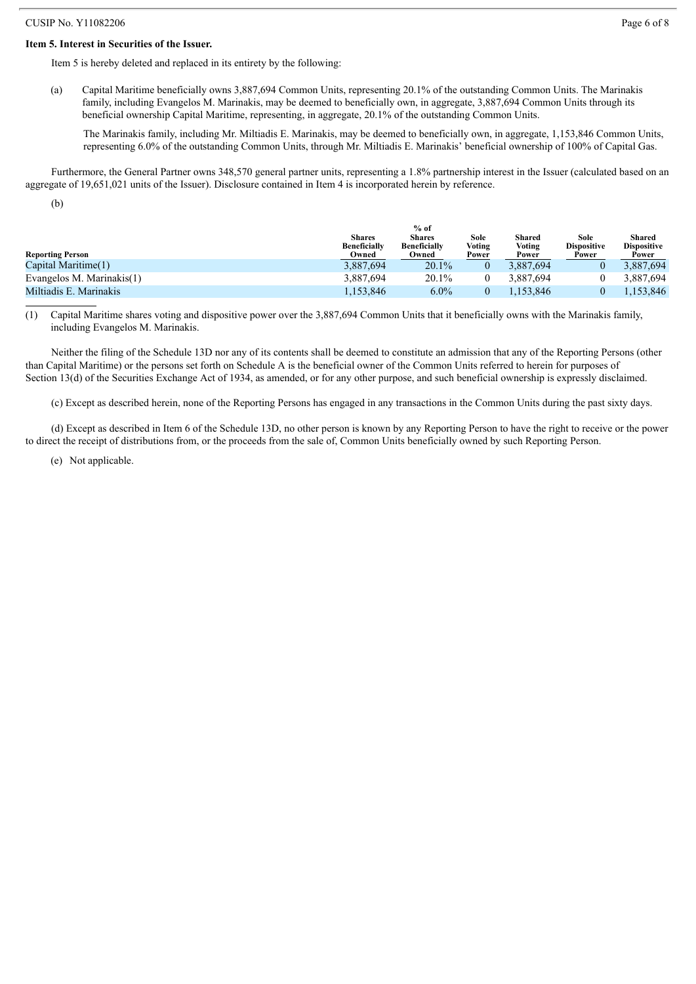#### **Item 5. Interest in Securities of the Issuer.**

Item 5 is hereby deleted and replaced in its entirety by the following:

(a) Capital Maritime beneficially owns 3,887,694 Common Units, representing 20.1% of the outstanding Common Units. The Marinakis family, including Evangelos M. Marinakis, may be deemed to beneficially own, in aggregate, 3,887,694 Common Units through its beneficial ownership Capital Maritime, representing, in aggregate, 20.1% of the outstanding Common Units.

The Marinakis family, including Mr. Miltiadis E. Marinakis, may be deemed to beneficially own, in aggregate, 1,153,846 Common Units, representing 6.0% of the outstanding Common Units, through Mr. Miltiadis E. Marinakis' beneficial ownership of 100% of Capital Gas.

Furthermore, the General Partner owns 348,570 general partner units, representing a 1.8% partnership interest in the Issuer (calculated based on an aggregate of 19,651,021 units of the Issuer). Disclosure contained in Item 4 is incorporated herein by reference.

(b)

|                           |                                      | $%$ of                               |                |                  |                            |                              |
|---------------------------|--------------------------------------|--------------------------------------|----------------|------------------|----------------------------|------------------------------|
|                           | <b>Shares</b><br><b>Beneficially</b> | <b>Shares</b><br><b>Beneficially</b> | Sole<br>Voting | Shared<br>Voting | Sole<br><b>Dispositive</b> | Shared<br><b>Dispositive</b> |
| <b>Reporting Person</b>   | Owned                                | Owned                                | Power          | Power            | Power                      | Power                        |
| Capital Maritime(1)       | 3,887,694                            | 20.1%                                |                | 3.887.694        |                            | 3,887,694                    |
| Evangelos M. Marinakis(1) | 3.887.694                            | 20.1%                                |                | 3.887.694        |                            | 3.887.694                    |
| Miltiadis E. Marinakis    | 1,153,846                            | $6.0\%$                              |                | .153.846         |                            | .153.846                     |

(1) Capital Maritime shares voting and dispositive power over the 3,887,694 Common Units that it beneficially owns with the Marinakis family, including Evangelos M. Marinakis.

Neither the filing of the Schedule 13D nor any of its contents shall be deemed to constitute an admission that any of the Reporting Persons (other than Capital Maritime) or the persons set forth on Schedule A is the beneficial owner of the Common Units referred to herein for purposes of Section 13(d) of the Securities Exchange Act of 1934, as amended, or for any other purpose, and such beneficial ownership is expressly disclaimed.

(c) Except as described herein, none of the Reporting Persons has engaged in any transactions in the Common Units during the past sixty days.

(d) Except as described in Item 6 of the Schedule 13D, no other person is known by any Reporting Person to have the right to receive or the power to direct the receipt of distributions from, or the proceeds from the sale of, Common Units beneficially owned by such Reporting Person.

(e) Not applicable.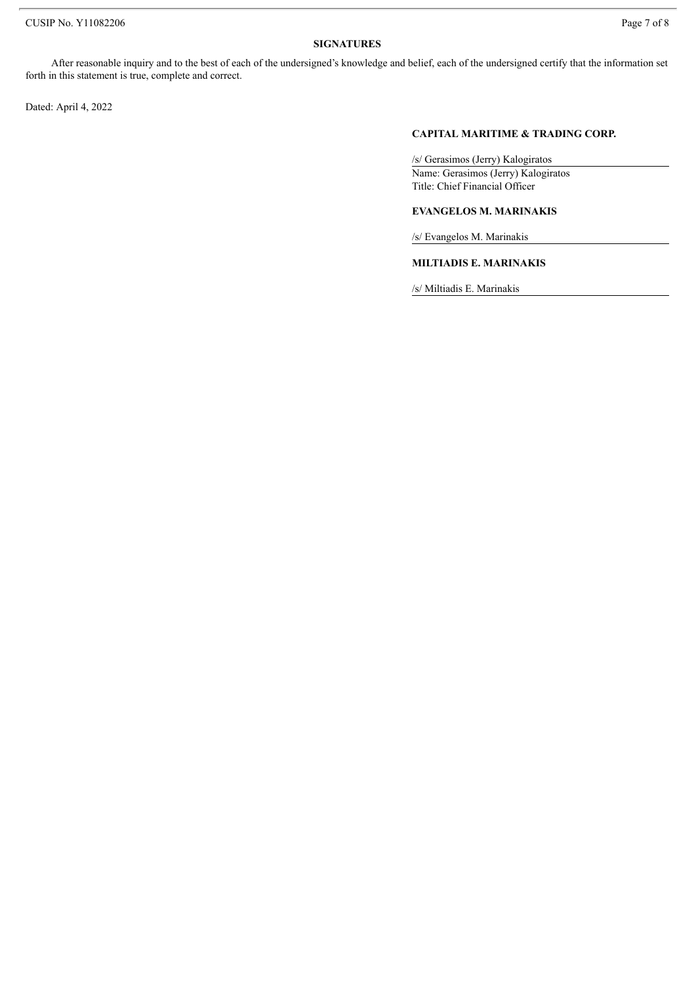# **SIGNATURES**

After reasonable inquiry and to the best of each of the undersigned's knowledge and belief, each of the undersigned certify that the information set forth in this statement is true, complete and correct.

Dated: April 4, 2022

#### **CAPITAL MARITIME & TRADING CORP.**

/s/ Gerasimos (Jerry) Kalogiratos Name: Gerasimos (Jerry) Kalogiratos Title: Chief Financial Officer

# **EVANGELOS M. MARINAKIS**

/s/ Evangelos M. Marinakis

# **MILTIADIS E. MARINAKIS**

/s/ Miltiadis E. Marinakis